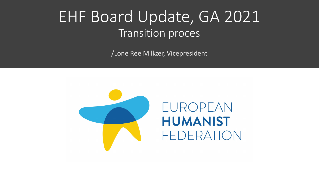## EHF Board Update, GA 2021 Transition proces

/Lone Ree Milkær, Vicepresident



EUROPEAN **HUMANIST** FEDERATION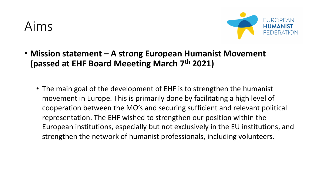#### Aims



- **Mission statement – A strong European Humanist Movement (passed at EHF Board Meeeting March 7th 2021)**
	- The main goal of the development of EHF is to strengthen the humanist movement in Europe. This is primarily done by facilitating a high level of cooperation between the MO's and securing sufficient and relevant political representation. The EHF wished to strengthen our position within the European institutions, especially but not exclusively in the EU institutions, and strengthen the network of humanist professionals, including volunteers.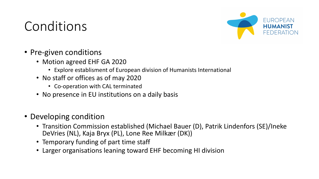### Conditions



- Pre-given conditions
	- Motion agreed EHF GA 2020
		- Explore establisment of European division of Humanists International
	- No staff or offices as of may 2020
		- Co-operation with CAL terminated
	- No presence in EU institutions on a daily basis
- Developing condition
	- Transition Commission established (Michael Bauer (D), Patrik Lindenfors (SE)/Ineke DeVries (NL), Kaja Bryx (PL), Lone Ree Milkær (DK))
	- Temporary funding of part time staff
	- Larger organisations leaning toward EHF becoming HI division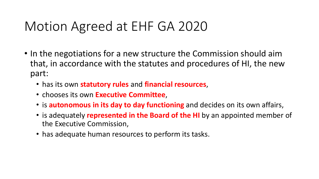## Motion Agreed at EHF GA 2020

- In the negotiations for a new structure the Commission should aim that, in accordance with the statutes and procedures of HI, the new part:
	- has its own **statutory rules** and **financial resources**,
	- chooses its own **Executive Committee**,
	- is **autonomous in its day to day functioning** and decides on its own affairs,
	- is adequately **represented in the Board of the HI** by an appointed member of the Executive Commission,
	- has adequate human resources to perform its tasks.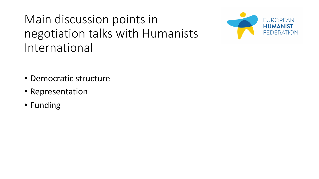Main discussion points in negotiation talks with Humanists International



- Democratic structure
- Representation
- Funding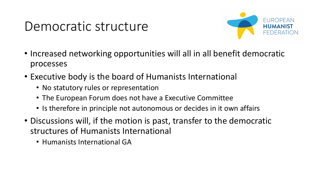### Democratic structure



- Increased networking opportunities will all in all benefit democratic processes
- Executive body is the board of Humanists International
	- No statutory rules or representation
	- The European Forum does not have a Executive Committee
	- Is therefore in principle not autonomous or decides in it own affairs
- Discussions will, if the motion is past, transfer to the democratic structures of Humanists International
	- Humanists International GA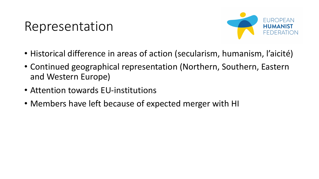### Representation



- Historical difference in areas of action (secularism, humanism, l'aicité)
- Continued geographical representation (Northern, Southern, Eastern and Western Europe)
- Attention towards EU-institutions
- Members have left because of expected merger with HI